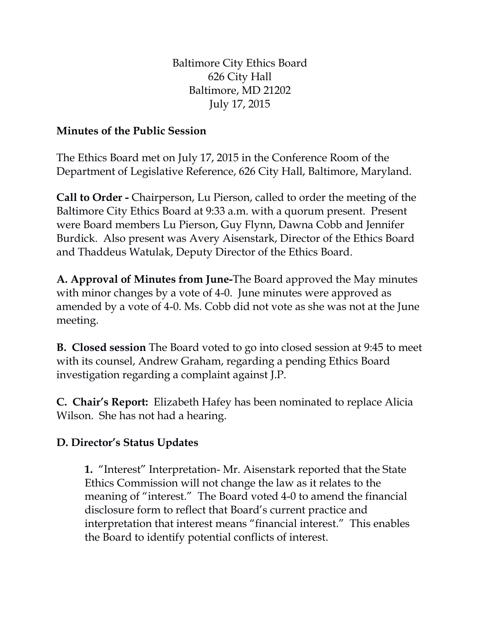Baltimore City Ethics Board 626 City Hall Baltimore, MD 21202 July 17, 2015

## **Minutes of the Public Session**

The Ethics Board met on July 17, 2015 in the Conference Room of the Department of Legislative Reference, 626 City Hall, Baltimore, Maryland.

**Call to Order -** Chairperson, Lu Pierson, called to order the meeting of the Baltimore City Ethics Board at 9:33 a.m. with a quorum present. Present were Board members Lu Pierson, Guy Flynn, Dawna Cobb and Jennifer Burdick. Also present was Avery Aisenstark, Director of the Ethics Board and Thaddeus Watulak, Deputy Director of the Ethics Board.

**A. Approval of Minutes from June-**The Board approved the May minutes with minor changes by a vote of 4-0. June minutes were approved as amended by a vote of 4-0. Ms. Cobb did not vote as she was not at the June meeting.

**B. Closed session** The Board voted to go into closed session at 9:45 to meet with its counsel, Andrew Graham, regarding a pending Ethics Board investigation regarding a complaint against J.P.

**C. Chair's Report:** Elizabeth Hafey has been nominated to replace Alicia Wilson. She has not had a hearing.

## **D. Director's Status Updates**

**1.** "Interest" Interpretation- Mr. Aisenstark reported that the State Ethics Commission will not change the law as it relates to the meaning of "interest." The Board voted 4-0 to amend the financial disclosure form to reflect that Board's current practice and interpretation that interest means "financial interest." This enables the Board to identify potential conflicts of interest.